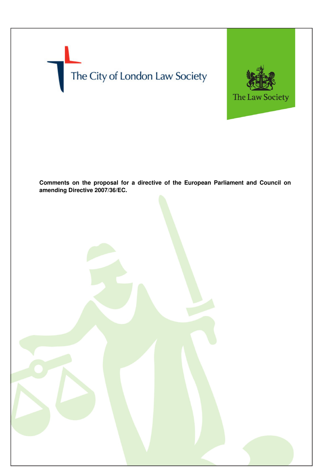



**Comments on the proposal for a directive of the European Parliament and Council on amending Directive 2007/36/EC.**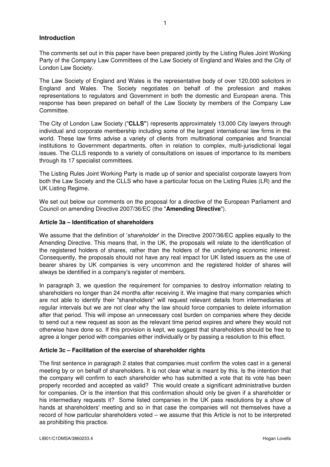# **Introduction**

The comments set out in this paper have been prepared jointly by the Listing Rules Joint Working Party of the Company Law Committees of the Law Society of England and Wales and the City of London Law Society.

The Law Society of England and Wales is the representative body of over 120,000 solicitors in England and Wales. The Society negotiates on behalf of the profession and makes representations to regulators and Government in both the domestic and European arena. This response has been prepared on behalf of the Law Society by members of the Company Law Committee.

The City of London Law Society ("**CLLS"**) represents approximately 13,000 City lawyers through individual and corporate membership including some of the largest international law firms in the world. These law firms advise a variety of clients from multinational companies and financial institutions to Government departments, often in relation to complex, multi-jurisdictional legal issues. The CLLS responds to a variety of consultations on issues of importance to its members through its 17 specialist committees.

The Listing Rules Joint Working Party is made up of senior and specialist corporate lawyers from both the Law Society and the CLLS who have a particular focus on the Listing Rules (LR) and the UK Listing Regime.

We set out below our comments on the proposal for a directive of the European Parliament and Council on amending Directive 2007/36/EC (the "**Amending Directive**").

# **Article 3a – Identification of shareholders**

We assume that the definition of 'shareholder' in the Directive 2007/36/EC applies equally to the Amending Directive. This means that, in the UK, the proposals will relate to the identification of the registered holders of shares, rather than the holders of the underlying economic interest. Consequently, the proposals should not have any real impact for UK listed issuers as the use of bearer shares by UK companies is very uncommon and the registered holder of shares will always be identified in a company's register of members.

In paragraph 3, we question the requirement for companies to destroy information relating to shareholders no longer than 24 months after receiving it. We imagine that many companies which are not able to identify their "shareholders" will request relevant details from intermediaries at regular intervals but we are not clear why the law should force companies to delete information after that period. This will impose an unnecessary cost burden on companies where they decide to send out a new request as soon as the relevant time period expires and where they would not otherwise have done so. If this provision is kept, we suggest that shareholders should be free to agree a longer period with companies either individually or by passing a resolution to this effect.

# **Article 3c – Facilitation of the exercise of shareholder rights**

The first sentence in paragraph 2 states that companies must confirm the votes cast in a general meeting by or on behalf of shareholders. It is not clear what is meant by this. Is the intention that the company will confirm to each shareholder who has submitted a vote that its vote has been properly recorded and accepted as valid? This would create a significant administrative burden for companies. Or is the intention that this confirmation should only be given if a shareholder or his intermediary requests it? Some listed companies in the UK pass resolutions by a show of hands at shareholders' meeting and so in that case the companies will not themselves have a record of how particular shareholders voted – we assume that this Article is not to be interpreted as prohibiting this practice.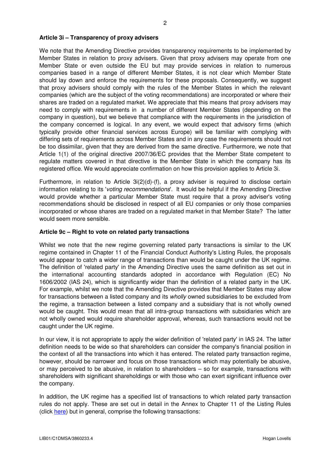#### **Article 3i – Transparency of proxy advisers**

We note that the Amending Directive provides transparency requirements to be implemented by Member States in relation to proxy advisers. Given that proxy advisers may operate from one Member State or even outside the EU but may provide services in relation to numerous companies based in a range of different Member States, it is not clear which Member State should lay down and enforce the requirements for these proposals. Consequently, we suggest that proxy advisers should comply with the rules of the Member States in which the relevant companies (which are the subject of the voting recommendations) are incorporated or where their shares are traded on a regulated market. We appreciate that this means that proxy advisers may need to comply with requirements in a number of different Member States (depending on the company in question), but we believe that compliance with the requirements in the jurisdiction of the company concerned is logical. In any event, we would expect that advisory firms (which typically provide other financial services across Europe) will be familiar with complying with differing sets of requirements across Member States and in any case the requirements should not be too dissimilar, given that they are derived from the same directive. Furthermore, we note that Article 1(1) of the original directive 2007/36/EC provides that the Member State competent to regulate matters covered in that directive is the Member State in which the company has its registered office. We would appreciate confirmation on how this provision applies to Article 3i.

Furthermore, in relation to Article 3i(2)(d)-(f), a proxy adviser is required to disclose certain information relating to its 'voting recommendations'. It would be helpful if the Amending Directive would provide whether a particular Member State must require that a proxy adviser's voting recommendations should be disclosed in respect of all EU companies or only those companies incorporated or whose shares are traded on a regulated market in that Member State? The latter would seem more sensible.

#### **Article 9c – Right to vote on related party transactions**

Whilst we note that the new regime governing related party transactions is similar to the UK regime contained in Chapter 11 of the Financial Conduct Authority's Listing Rules, the proposals would appear to catch a wider range of transactions than would be caught under the UK regime. The definition of 'related party' in the Amending Directive uses the same definition as set out in the international accounting standards adopted in accordance with Regulation (EC) No 1606/2002 (IAS 24), which is significantly wider than the definition of a related party in the UK. For example, whilst we note that the Amending Directive provides that Member States may allow for transactions between a listed company and its *wholly* owned subsidiaries to be excluded from the regime, a transaction between a listed company and a subsidiary that is not wholly owned would be caught. This would mean that all intra-group transactions with subsidiaries which are not wholly owned would require shareholder approval, whereas, such transactions would not be caught under the UK regime.

In our view, it is not appropriate to apply the wider definition of 'related party' in IAS 24. The latter definition needs to be wide so that shareholders can consider the company's financial position in the context of all the transactions into which it has entered. The related party transaction regime, however, should be narrower and focus on those transactions which may potentially be abusive, or may perceived to be abusive, in relation to shareholders – so for example, transactions with shareholders with significant shareholdings or with those who can exert significant influence over the company.

In addition, the UK regime has a specified list of transactions to which related party transaction rules do not apply. These are set out in detail in the Annex to Chapter 11 of the Listing Rules (click here) but in general, comprise the following transactions: